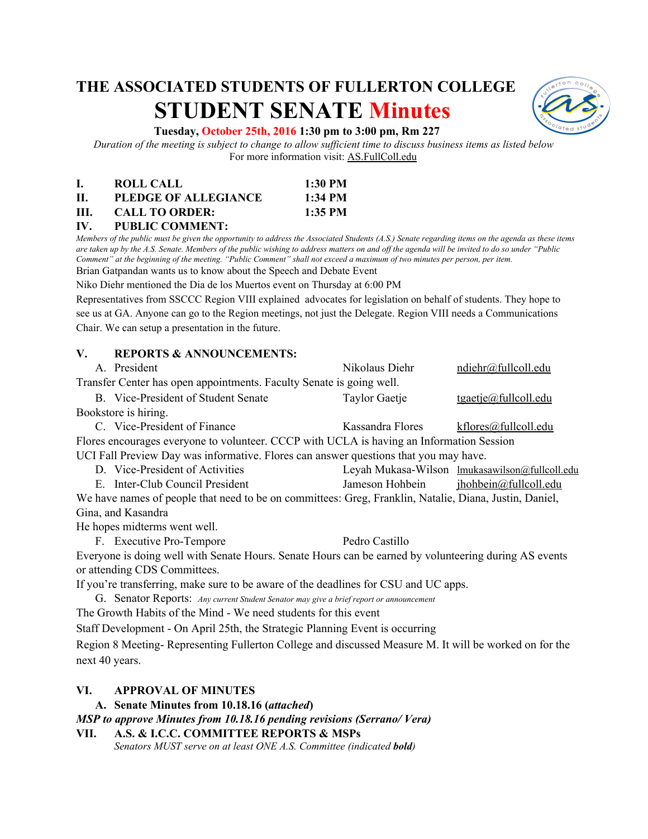# **THE ASSOCIATED STUDENTS OF FULLERTON COLLEGE STUDENT SENATE Minutes**



#### **Tuesday, October 25th, 2016 1:30 pm to 3:00 pm, Rm 227**

*Duration of the meeting is subject to change to allow sufficient time to discuss business items as listed below* For more information visit: AS.FullColl.edu

|     | ROLL CALL             | $1:30$ PM |
|-----|-----------------------|-----------|
| П.  | PLEDGE OF ALLEGIANCE  | 1:34 PM   |
| HL. | <b>CALL TO ORDER:</b> | $1:35$ PM |

## **IV. PUBLIC COMMENT:**

*Members of the public must be given the opportunity to address the Associated Students (A.S.) Senate regarding items on the agenda as these items are taken up by the A.S. Senate. Members of the public wishing to address matters on and off the agenda will be invited to do so under "Public Comment" at the beginning of the meeting. "Public Comment" shall not exceed a maximum of two minutes per person, per item.* Brian Gatpandan wants us to know about the Speech and Debate Event

Niko Diehr mentioned the Dia de los Muertos event on Thursday at 6:00 PM

Representatives from SSCCC Region VIII explained advocates for legislation on behalf of students. They hope to see us at GA. Anyone can go to the Region meetings, not just the Delegate. Region VIII needs a Communications Chair. We can setup a presentation in the future.

#### **V. REPORTS & ANNOUNCEMENTS:**

|                                                                                                        | A. President                        | Nikolaus Diehr       | ndiehr@fullcoll.edu                            |  |
|--------------------------------------------------------------------------------------------------------|-------------------------------------|----------------------|------------------------------------------------|--|
| Transfer Center has open appointments. Faculty Senate is going well.                                   |                                     |                      |                                                |  |
|                                                                                                        | B. Vice-President of Student Senate | <b>Taylor Gaetje</b> | $t$ gaetje@fullcoll.edu                        |  |
| Bookstore is hiring.                                                                                   |                                     |                      |                                                |  |
|                                                                                                        | C. Vice-President of Finance        | Kassandra Flores     | kflores@fullcoll.edu                           |  |
| Flores encourages everyone to volunteer. CCCP with UCLA is having an Information Session               |                                     |                      |                                                |  |
| UCI Fall Preview Day was informative. Flores can answer questions that you may have.                   |                                     |                      |                                                |  |
|                                                                                                        | D. Vice-President of Activities     |                      | Leyah Mukasa-Wilson lmukasawilson@fullcoll.edu |  |
|                                                                                                        | E. Inter-Club Council President     | Jameson Hohbein      | ihoblein@full coll.edu                         |  |
| We have names of people that need to be on committees: Greg, Franklin, Natalie, Diana, Justin, Daniel, |                                     |                      |                                                |  |
| Gina, and Kasandra                                                                                     |                                     |                      |                                                |  |
|                                                                                                        | He hopes midterms went well.        |                      |                                                |  |
|                                                                                                        | F. Executive Pro-Tempore            | Pedro Castillo       |                                                |  |
| Everyone is doing well with Senate Hours. Senate Hours can be earned by volunteering during AS events  |                                     |                      |                                                |  |
|                                                                                                        | or attending CDS Committees.        |                      |                                                |  |
| If you're transferring, make sure to be aware of the deadlines for CSU and UC apps.                    |                                     |                      |                                                |  |

G. Senator Reports: *Any current Student Senator may give a brief report or announcement*

The Growth Habits of the Mind - We need students for this event

Staff Development - On April 25th, the Strategic Planning Event is occurring

Region 8 Meeting- Representing Fullerton College and discussed Measure M. It will be worked on for the next 40 years.

#### **VI. APPROVAL OF MINUTES**

**A. Senate Minutes fro m 10.18.16 (***attached***)**

*MSP to approve Minutes from 10.18.16 pending revisions (Serrano/ Vera)*

**VII. A.S. & I.C.C. COMMITTEE REPORTS & MSPs** *Senators MUST serve on at least ONE A.S. Committee (indicated bold)*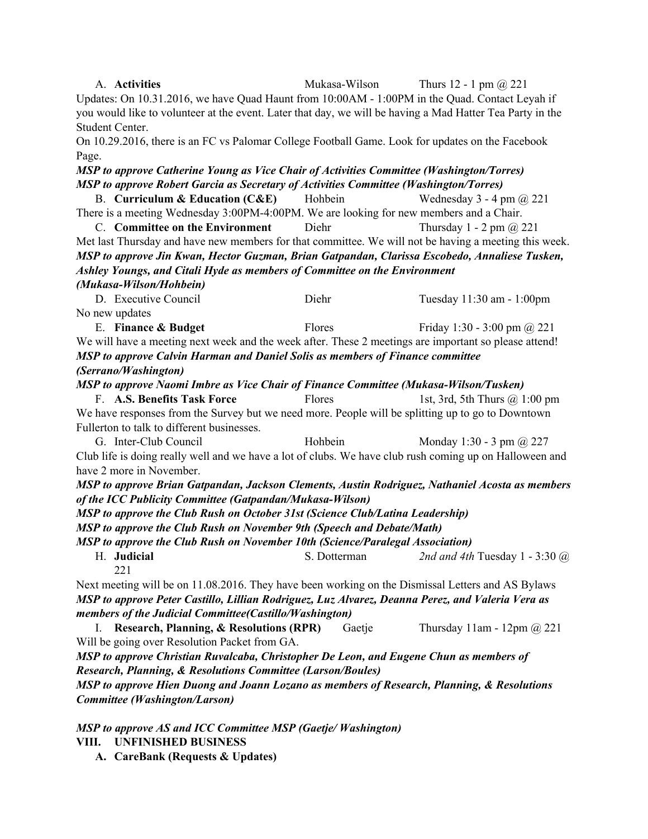| A. Activities                                                                                                                                          | Mukasa-Wilson                                                                                         | Thurs 12 - 1 pm $(a)$ 221                                                                                 |  |  |  |
|--------------------------------------------------------------------------------------------------------------------------------------------------------|-------------------------------------------------------------------------------------------------------|-----------------------------------------------------------------------------------------------------------|--|--|--|
|                                                                                                                                                        | Updates: On 10.31.2016, we have Quad Haunt from 10:00AM - 1:00PM in the Quad. Contact Leyah if        |                                                                                                           |  |  |  |
|                                                                                                                                                        |                                                                                                       | you would like to volunteer at the event. Later that day, we will be having a Mad Hatter Tea Party in the |  |  |  |
| Student Center.                                                                                                                                        |                                                                                                       |                                                                                                           |  |  |  |
|                                                                                                                                                        | On 10.29.2016, there is an FC vs Palomar College Football Game. Look for updates on the Facebook      |                                                                                                           |  |  |  |
| Page.                                                                                                                                                  |                                                                                                       |                                                                                                           |  |  |  |
|                                                                                                                                                        | MSP to approve Catherine Young as Vice Chair of Activities Committee (Washington/Torres)              |                                                                                                           |  |  |  |
|                                                                                                                                                        | <b>MSP</b> to approve Robert Garcia as Secretary of Activities Committee (Washington/Torres)          |                                                                                                           |  |  |  |
| B. Curriculum & Education (C&E) Hohbein                                                                                                                |                                                                                                       | Wednesday $3 - 4$ pm $\omega$ 221                                                                         |  |  |  |
|                                                                                                                                                        | There is a meeting Wednesday 3:00PM-4:00PM. We are looking for new members and a Chair.               |                                                                                                           |  |  |  |
| C. Committee on the Environment                                                                                                                        | Diehr                                                                                                 | Thursday 1 - 2 pm $\omega$ 221                                                                            |  |  |  |
|                                                                                                                                                        |                                                                                                       | Met last Thursday and have new members for that committee. We will not be having a meeting this week.     |  |  |  |
|                                                                                                                                                        |                                                                                                       | MSP to approve Jin Kwan, Hector Guzman, Brian Gatpandan, Clarissa Escobedo, Annaliese Tusken,             |  |  |  |
|                                                                                                                                                        | Ashley Youngs, and Citali Hyde as members of Committee on the Environment                             |                                                                                                           |  |  |  |
| (Mukasa-Wilson/Hohbein)                                                                                                                                |                                                                                                       |                                                                                                           |  |  |  |
| D. Executive Council                                                                                                                                   | Diehr                                                                                                 |                                                                                                           |  |  |  |
|                                                                                                                                                        |                                                                                                       | Tuesday 11:30 am - 1:00pm                                                                                 |  |  |  |
| No new updates                                                                                                                                         |                                                                                                       |                                                                                                           |  |  |  |
| E. Finance & Budget                                                                                                                                    | Flores                                                                                                | Friday 1:30 - 3:00 pm $@221$                                                                              |  |  |  |
|                                                                                                                                                        | We will have a meeting next week and the week after. These 2 meetings are important so please attend! |                                                                                                           |  |  |  |
|                                                                                                                                                        | MSP to approve Calvin Harman and Daniel Solis as members of Finance committee                         |                                                                                                           |  |  |  |
| (Serrano/Washington)                                                                                                                                   |                                                                                                       |                                                                                                           |  |  |  |
|                                                                                                                                                        | <b>MSP</b> to approve Naomi Imbre as Vice Chair of Finance Committee (Mukasa-Wilson/Tusken)           |                                                                                                           |  |  |  |
| F. A.S. Benefits Task Force                                                                                                                            | Flores                                                                                                | 1st, 3rd, 5th Thurs $@$ 1:00 pm                                                                           |  |  |  |
|                                                                                                                                                        | We have responses from the Survey but we need more. People will be splitting up to go to Downtown     |                                                                                                           |  |  |  |
| Fullerton to talk to different businesses.                                                                                                             |                                                                                                       |                                                                                                           |  |  |  |
| G. Inter-Club Council                                                                                                                                  | Hohbein                                                                                               | Monday 1:30 - 3 pm $\omega$ 227                                                                           |  |  |  |
| have 2 more in November.                                                                                                                               |                                                                                                       | Club life is doing really well and we have a lot of clubs. We have club rush coming up on Halloween and   |  |  |  |
|                                                                                                                                                        |                                                                                                       | MSP to approve Brian Gatpandan, Jackson Clements, Austin Rodriguez, Nathaniel Acosta as members           |  |  |  |
| of the ICC Publicity Committee (Gatpandan/Mukasa-Wilson)                                                                                               |                                                                                                       |                                                                                                           |  |  |  |
| MSP to approve the Club Rush on October 31st (Science Club/Latina Leadership)                                                                          |                                                                                                       |                                                                                                           |  |  |  |
|                                                                                                                                                        |                                                                                                       |                                                                                                           |  |  |  |
| MSP to approve the Club Rush on November 9th (Speech and Debate/Math)<br>MSP to approve the Club Rush on November 10th (Science/Paralegal Association) |                                                                                                       |                                                                                                           |  |  |  |
| H. Judicial                                                                                                                                            | S. Dotterman                                                                                          | 2nd and 4th Tuesday 1 - 3:30 @                                                                            |  |  |  |
| 221                                                                                                                                                    |                                                                                                       |                                                                                                           |  |  |  |
|                                                                                                                                                        | Next meeting will be on 11.08.2016. They have been working on the Dismissal Letters and AS Bylaws     |                                                                                                           |  |  |  |
|                                                                                                                                                        | MSP to approve Peter Castillo, Lillian Rodriguez, Luz Alvarez, Deanna Perez, and Valeria Vera as      |                                                                                                           |  |  |  |
| members of the Judicial Committee(Castillo/Washington)                                                                                                 |                                                                                                       |                                                                                                           |  |  |  |
| I. Research, Planning, & Resolutions (RPR)                                                                                                             | Gaetje                                                                                                | Thursday $11$ am - $12$ pm @ 221                                                                          |  |  |  |
|                                                                                                                                                        |                                                                                                       |                                                                                                           |  |  |  |
| Will be going over Resolution Packet from GA.                                                                                                          |                                                                                                       |                                                                                                           |  |  |  |
|                                                                                                                                                        | MSP to approve Christian Ruvalcaba, Christopher De Leon, and Eugene Chun as members of                |                                                                                                           |  |  |  |
| Research, Planning, & Resolutions Committee (Larson/Boules)                                                                                            |                                                                                                       |                                                                                                           |  |  |  |
| MSP to approve Hien Duong and Joann Lozano as members of Research, Planning, & Resolutions                                                             |                                                                                                       |                                                                                                           |  |  |  |
| <b>Committee</b> (Washington/Larson)                                                                                                                   |                                                                                                       |                                                                                                           |  |  |  |
|                                                                                                                                                        |                                                                                                       |                                                                                                           |  |  |  |
| MSP to approve AS and ICC Committee MSP (Gaetje/Washington)                                                                                            |                                                                                                       |                                                                                                           |  |  |  |
| <b>UNFINISHED BUSINESS</b><br>VIII.                                                                                                                    |                                                                                                       |                                                                                                           |  |  |  |

**A. CareBank (Requests & Updates)**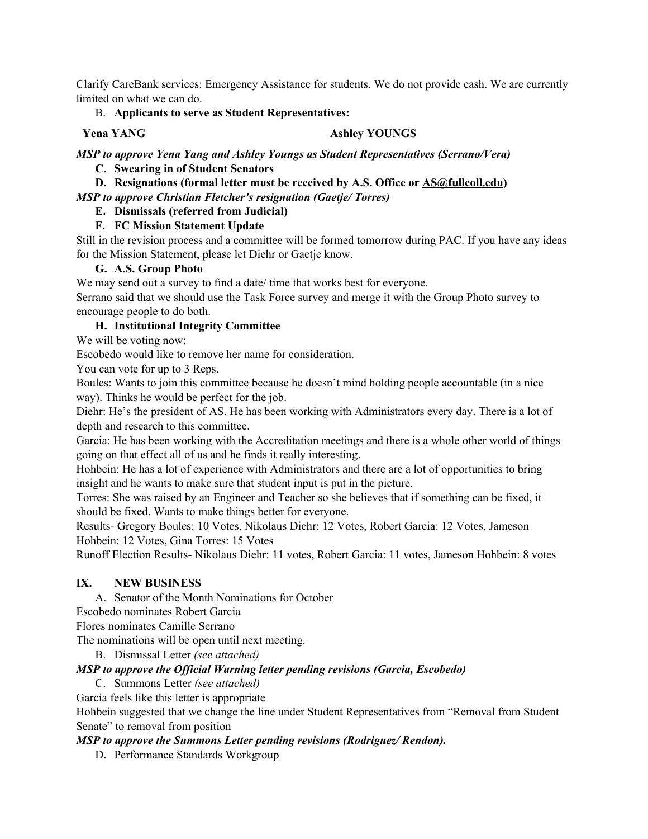Clarify CareBank services: Emergency Assistance for students. We do not provide cash. We are currently limited on what we can do.

#### B. **Applicants to serve as Student Representatives:**

#### **Yena YANG Ashley YOUNGS**

*MSP to approve Yena Yang and Ashley Youngs as Student Representatives (Serrano/Vera)*

#### **C. Swearing in of Student Senators**

**D. Resignations (formal letter must be received by A.S. Office or [AS@fullcoll.edu](mailto:AS@fullcoll.edu))** *MSP to approve Christian Fletcher's resignation (Gaetje/ Torres)*

# **E. Dismissals (referred from Judicial)**

## **F. FC Mission Statement Update**

Still in the revision process and a committee will be formed tomorrow during PAC. If you have any ideas for the Mission Statement, please let Diehr or Gaetje know.

#### **G. A.S. Group Photo**

We may send out a survey to find a date/ time that works best for everyone.

Serrano said that we should use the Task Force survey and merge it with the Group Photo survey to encourage people to do both.

#### **H. Institutional Integrity Committee**

We will be voting now:

Escobedo would like to remove her name for consideration.

You can vote for up to 3 Reps.

Boules: Wants to join this committee because he doesn't mind holding people accountable (in a nice way). Thinks he would be perfect for the job.

Diehr: He's the president of AS. He has been working with Administrators every day. There is a lot of depth and research to this committee.

Garcia: He has been working with the Accreditation meetings and there is a whole other world of things going on that effect all of us and he finds it really interesting.

Hohbein: He has a lot of experience with Administrators and there are a lot of opportunities to bring insight and he wants to make sure that student input is put in the picture.

Torres: She was raised by an Engineer and Teacher so she believes that if something can be fixed, it should be fixed. Wants to make things better for everyone.

Results- Gregory Boules: 10 Votes, Nikolaus Diehr: 12 Votes, Robert Garcia: 12 Votes, Jameson Hohbein: 12 Votes, Gina Torres: 15 Votes

Runoff Election Results- Nikolaus Diehr: 11 votes, Robert Garcia: 11 votes, Jameson Hohbein: 8 votes

## **IX. NEW BUSINESS**

A. Senator of the Month Nominations for October

Escobedo nominates Robert Garcia

Flores nominates Camille Serrano

The nominations will be open until next meeting.

B. Dismissal Letter *(see attached)*

## *MSP to approve the Official Warning letter pending revisions (Garcia, Escobedo)*

C. Summons Letter *(see attached)*

Garcia feels like this letter is appropriate

Hohbein suggested that we change the line under Student Representatives from "Removal from Student Senate" to removal from position

## *MSP to approve the Summons Letter pending revisions (Rodriguez/ Rendon).*

D. Performance Standards Workgroup